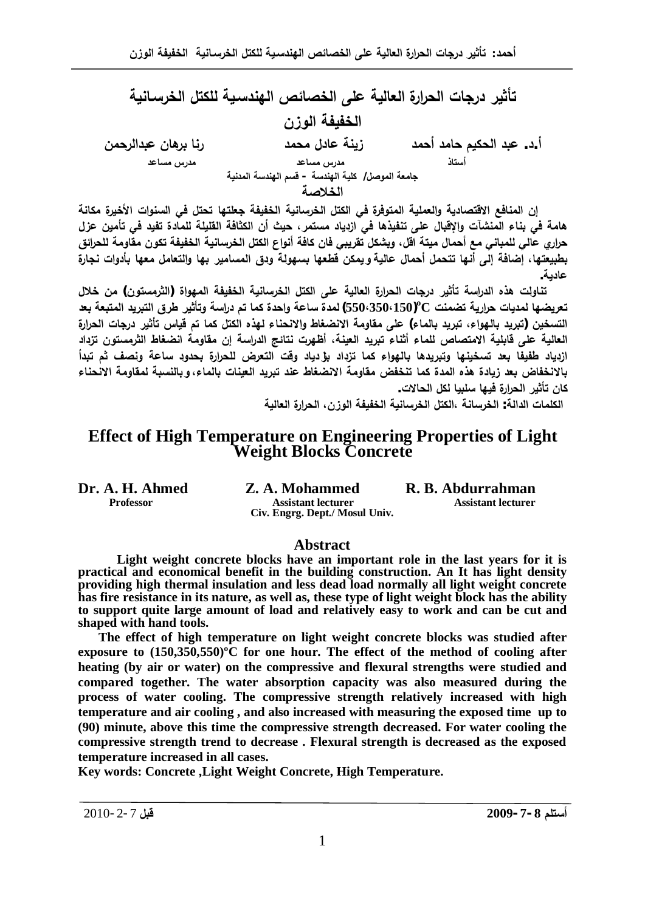تأثير درجات الحرارة العالية على الخصائص الهندسية للكتل الخرسانية ا**لخفيفة الوزن ÀƆš°ƃ¦®ŕŵÀœƋ°ŕœƈ° ®ƆšƆ¾®œŵŗƈƒ± ®Ɔš¢®Ɔœš¿ƒƂšƃ¦®ŕŵ .®.¢** ه هندان مصر المساعد مصدر المساعد مصدر المساعد مصدر المساعد جامعة الموصل/ كلية الهندسة - قسم الهندسة المدنية الخلاصة

إن المنافع الاقتصادية والعملية المتوفرة في الكتل الخرسانية الخفيفة جعلتها تحتل في السنوات الأخيرة مكانة هامة في بناء المنشآت والإقبال على تنفيذها في ازدياد مستمر ، حيث أن الكثافة القليلة للمادة تفيد في تأمين عزل حراري عالى للمباني مع أحمال ميتة اقل، ويشكل تقريبي فان كافة أنواع الكتل الخرسانية الخفيفة تكون مقاومة للحرائق بطبيعتها، إضافة إلى أنها تتحمل أحمال عالية ويمكن قطعها بسهولة ودق المسامير. بها والتعامل معها بأدوات نجارة عادية.

تناولت هذه الدراسة تأثير درجات الحرارة العالية على الكتل الخرسانية الخفيفة المهواة (الثرمستون) من خلال  $\textbf{C}$  تعريضها لمديات حرارية تضمنت C° $\textbf{C}^{\textbf{0}}$ (150 $\textbf{C}^{\textbf{3}}$ ) لمدة ساعة واحدة كما تم دراسة وتأثير طرق التبريد المتبعة بعد التسخين (تبريد بالهواء، تبريد بالماء) على مقاومة الانضغاط والانحناء لهذه الكتل كما تم قياس تأثير درجات الحرارة العالية على قابلية الامتصاص للماء أثناء تبريد العينة، أظهرت نتائج الدراسة إن مقاومة انضغاط الثرمستون تزداد ازدياد طفيفا بعد تسخينها وتبريدها بالهواء كما تزداد بزردياد وقت التعرض للحرارة بحدود ساعة ونصف ثم تبدأ بالانخفاض بعد زيادة هذه المدة كما تنخفض مقاومة الانضغاط عند تبريد العينات بالماء، وبالنسبة لمقاومة الانحناء كان تأثير الحرارة فيها سلبيا لكل الحالا*ت*.

**الكلمات الدالة: الخرسانية ،الكتل الخرسانية الخفيفة الوزن، الحرارة العالية** 

# **Effect of High Temperature on Engineering Properties of Light Weight Blocks Concrete**

**Dr. A. H. Ahmed Z. A. Mohammed R. B. Abdurrahman**<br>Professor Assistant lecturer Assistant lecturer **Assistant lecturer Civ. Engrg. Dept./ Mosul Univ.**

#### **Abstract**

**Light weight concrete blocks have an important role in the last years for it is practical and economical benefit in the building construction. An It has light density providing high thermal insulation and less dead load normally all light weight concrete has fire resistance in its nature, as well as, these type of light weight block has the ability to support quite large amount of load and relatively easy to work and can be cut and shaped with hand tools.**

**The effect of high temperature on light weight concrete blocks was studied after exposure to (150,350,550)ºC for one hour. The effect of the method of cooling after heating (by air or water) on the compressive and flexural strengths were studied and compared together. The water absorption capacity was also measured during the process of water cooling. The compressive strength relatively increased with high temperature and air cooling , and also increased with measuring the exposed time up to (90) minute, above this time the compressive strength decreased. For water cooling the compressive strength trend to decrease . Flexural strength is decreased as the exposed temperature increased in all cases.**

**Key words: Concrete ,Light Weight Concrete, High Temperature.**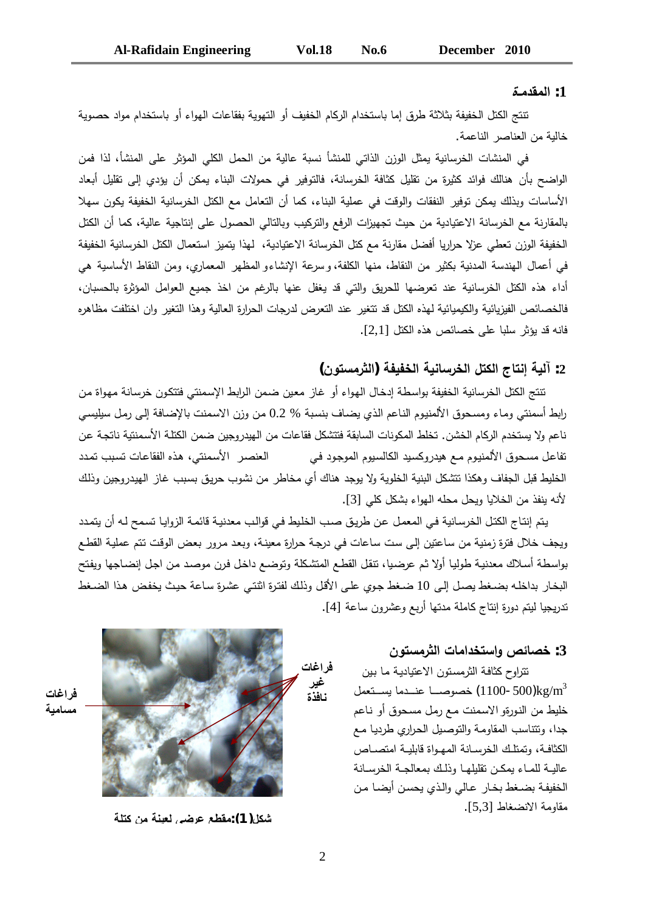#### **¨ººƆ®ƀƆƃ¦ :1**

تتتج الكتل الخفيفة بثلاثة طرق إما باستخدام الركام الخفيف أو التهوية بفقاعات الهواء أو باستخدام مواد حصوية خالية من العناصر الناعمة.

في المنشات الخرسانية يمثل الوزن الذاتي للمنشأ نسبة عالية من الحمل الكلى المؤثر على المنشأ، لذا فمن الواضح بأن هنالك فوائد كثيرة من نقليل كثافة الخرسانة، فالتوفير في حمولات البناء يمكن أن يؤدي إلى نقليل أبعاد الأساسات وبذلك بمكن توفير النفقات والوقت في عملية البناء، كما أن التعامل مع الكتل الخرسانية الخفيفة يكون سهلا بالمقارنة مع الخرسانة الاعتيادية من حيث تجهيزات الرفع والتركيب وبالتالي الحصول على إنتاجية عالية، كما أن الكتل الخفيفة الوزن تعطي عزلا حراريا أفضل مقارنة مع كثل الخرسانة الاعتيادية، لهذا يتميز استعمال الكتل الخرسانية الخفيفة في أعمال الهندسة المدنية بكثير من النقاط، منها الكلفة، وسرعة الإنشاءو المظهر المعماري، ومن النقاط الأساسية هي أداء هذه الكثل الخرسانية عند تعرضها للحريق والتي قد يغفل عنها بالرغم من اخذ جميع العوامل المؤثرة بالحسبان، فالخصائص الفيزيائية والكيميائية لهذه الكتل قد تتغير عند التعرض لدرجات الحرارة العالية وهذا التغير وان اختلفت مظاهره فانه قد بؤثر سلبا على خصائص هذه الكتل [2,1].

# 2: آلية إنتاج الكتل الخرسانية الخفيفة (الثرمستون)

تتتج الكتل الخرسانية الخفيفة بواسطة إدخال الهواء أو غاز معين ضمن الرابط الإسمنتي فتتكون خرسانة مهواة من رابط أسمنتي وماء ومسحوق الألمنيوم الناعم الذي يضاف بنسبة % 0.2 من وزن الاسمنت بالإضافة إلى رمل سيليسي ناعم ولا يستخدم الركام الخشن. تخلط المكونات السابقة فتتشكل فقاعات من الهيدروجين ضمن الكتلة الأسمنتية ناتجة عن تفاعل مسحوق الألمنيوم مـع هيدروكسيد الكالسيوم الموجود في العنصر الأسمنتي، هذه الفقاعات تسبب تمدد الخليط قبل الجفاف وهكذا تتشكل البنية الخلوية ولا يوجد هناك أي مخاطر من نشوب حريق بسبب غاز الهيدروجين وذلك لأنه ينفذ من الخلايا ويحل محله الهواء بشكل كلي [3].

يتم إنتاج الكتل الخرسانية في المعمل عن طريق صب الخليط في قوالب معدنية قائمة الزوايا تسمح لـه أن يتمدد ويجف خلال فترة زمنية من ساعتين إلى ست ساعات في درجة حرارة معينـة، وبعد مرور بعض الوقت تتم عمليـة القطـع بواسطة أسلاك معدنية طوليا أولا ثم عرضيا، تتقل القطع المتشكلة وتوضع داخل فرن موصد من اجل إنضاجها ويفتح البخار بداخله بضغط بصل إلى 10 ضغط جوى على الأقل وذلك لفترة اثتتي عشرة ساعة حبث بخفض هذا الضغط تدريجيا ليتم دورة إنتاج كاملة مدتها أربع وعشرون ساعة [4].

## **ÀÂřŪƆ°śƃ¦©œƆ¦®ŤřŪ¦Â´őœŮŤ :3**

نتراوح كثافة الثرمستون الاعتيادية ما بين خصوصــا عنــدما يســتعمل (1100-500) $\rm kg/m^{3}$ خليط من النورةو الاسمنت مع رمل مسحوق أو ناعم جدا، ونتتاسب المقاومة والتوصيل الحراري طرديا مع الكثافـة، وتمثلـك الخرسـانـة المهـواة قابليــة امتصــاص عاليــة للمـاء بمكـن نقليلهـا وذلـك بمعالجـة الخرسـانـة الخفيفة بضـغط بخـار عـالي والـذي يحسن أيضـا مـن مقاومة الانضغاط [5,3].



مسامية

**ŗƄřƂÀƆŗƈƒŶƃƑ۰ŵŴ¶ƀƆ:(1)¾ƂŬ**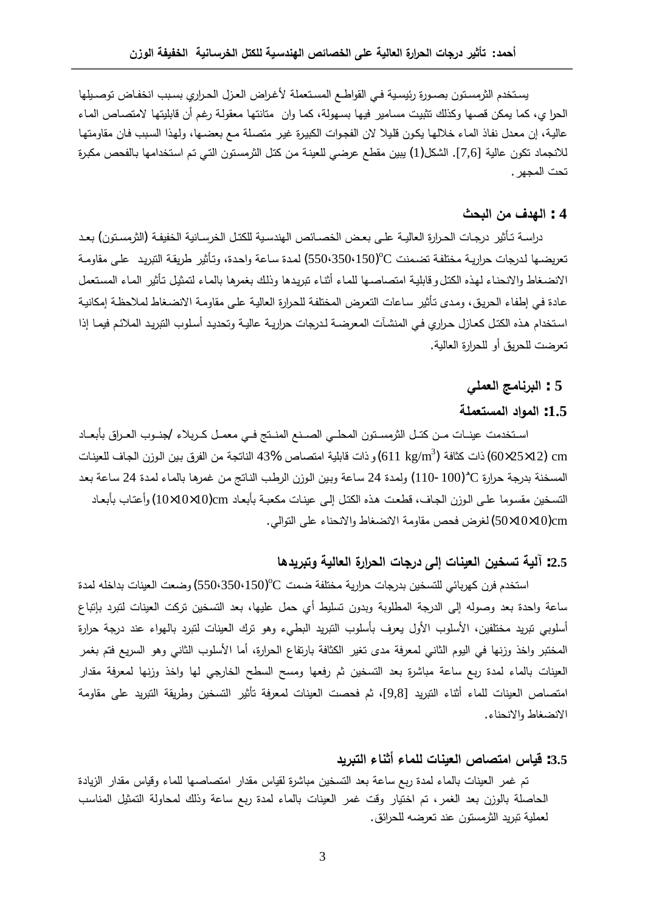يستخدم الثرمستون بصـورة رئيسـية فـي القواطــع المسـتعملة لأغـراض العـزل الحـراري بسـبب انخفـاض توصـيلها الحرا ي، كما يمكن قصـها وكذلك تثبيت مسامير فيها بسـهولـة، كمـا وان متانتها معقولـة رغم أن قابليتها لامتصـاص المـاء عالية، إن معدل نفاذ الماء خلالها يكون قليلا لان الفجوات الكبيرة غير متصلة مـع بعضـها، ولهذا السبب فان مقاومتها للانجماد تكون عالية [7,6]. الشكل(1) يبين مقطع عرضي للعينة من كتل الثرمستون التي تم استخدامها بالفحص مكبرة تحت المجهر .

# **ªšŕƃ¦ÀƆ»®ƌƃ¦ : 4**

دراسـة تـأثير درجـات الحـرارة الـعاليـة علـي بـعـض الـخصـائص الـهندسـية للكتـل الخرسـانية الـخفيفـة (الثرمسـتون) بـعـد تعريضـها لدرجات حراريـة مختلفـة تضـمنت ℃(550⋅35001) لمدة ساعة واحدة، وتأثير طريقـة التبريد علـي مقاومـة الانضـغاط والانـحناء لـهذه الكتل و قابليـة امتصاصـها للمـاء أثنـاء تبريدها وذلك بـغمرها بالمـاء لتمثيل تأثير المـاء المستعمل عادة في إطفاء الحريق، ومدى تأثير ساعات التعرض المختلفة للحرارة العالية على مقاومة الانضـغاط لملاحظـة إمكانيـة استخدام هذه الكتل كعازل حراري في المنشآت المعرضـة لدرجات حراريـة عاليـة وتحديد أسلوب التبريد الملائـم فيمـا إذا نعرضت للحريق أو للحرارة العالية.

### **ƑƄƆŶƃ¦ŝƆœƈ°ŕƃ¦ : 5**

### **ŗƄƆŶřŪƆƃ¦®¦ÂƆƃ¦ :1.5**

استخدمت عينـات مـن كتـل الثرمسـتون المحلـي الصـنـع المنـتج فـي معمـل كـربلاء /جنــوب الـعـراق بأبعــاد ذات كثافة  $\rm (611~kg/m^3)$  ذات كثافة  $\rm (611~kg/m^3)$ و ذات قابلية امتصاص  $\rm (43\%$  الناتجة من الفرق بين الوزن الجاف للعينات المسخنة بدرجة حرارة ℃(100-110) ولمدة 24 ساعة وبين الوزن الرطب النانج من غمرها بالماء لمدة 24 ساعة بعد التسخين مقسوما علـي الوزن الجاف، قطعت هذه الكتل إلـي عينات مكعبـة بأبعـاد 20\10\10x10) وأعتـاب بأبعـاد .Ɠƅ§Ãśƅ§ ƑƆŷ¡ŕƊţƊƛ§Ã·ŕżŲƊƛ§řƈÃŕƂƈµţž¶±żƅ (50×10×10)cm

### **œƋ®ƒ°ŕřÂŗƒƃœŶƃ¦¨°¦°šƃ¦©œŞ°® Əƃ¤ ©œƈƒŶƃ¦ÀƒŤŪř ŗƒƃ¡ :2.5**

استخدم فرن كهربائي للتسخين بدرجات حرارية مختلفة ضمت ℃(550⋅350⋅150) وضعت العينات بداخله لمدة ساعة واحدة بعد وصوله إلى الدرجة المطلوبة وبدون تسليط أي حمل عليها، بعد التسخين تركت العينات لتبرد بإتباع أسلوبي نبريد مختلفين، الأسلوب الأول يعرف بأسلوب النبريد البطيء وهو نرك العينات لنبرد بالهواء عند درجة حرارة المختبر واخذ وزنها في اليوم الثاني لمعرفة مدى تغير الكثافة بارتفاع الحرارة، أما الأسلوب الثاني وهو السريع فتم بغمر العينات بالماء لمدة ربع ساعة مباشرة بعد التسخين ثم رفعها ومسح السطح الخارجي لمها واخذ وزنها لمعرفة مقدار امتصاص العينات للماء أثناء التبريد [9,8]، ثم فحصت العينات لمعرفة تأثير التسخين وطريقة التبريد على مقاومة الانضغاط والانحناء.

#### **®ƒ°ŕřƃ¦ œƈś¢ œƆƄƃ ©œƈƒŶƃ¦ ´œŮřƆ¦²œƒſ :3.5**

تم غمر العينات بالماء لمدة ربع ساعة بعد التسخين مباشرة لقياس مقدار امتصاصها للماء وقياس مقدار الزيادة المحاصلة بالوزن بعد الغمر، تم اختيار وقت غمر العينات بالماء لمدة ربع ساعة وذلك لمحاولة التمثيل المناسب لعملية تبريد الثرمستون عند تعرضه للحرائق.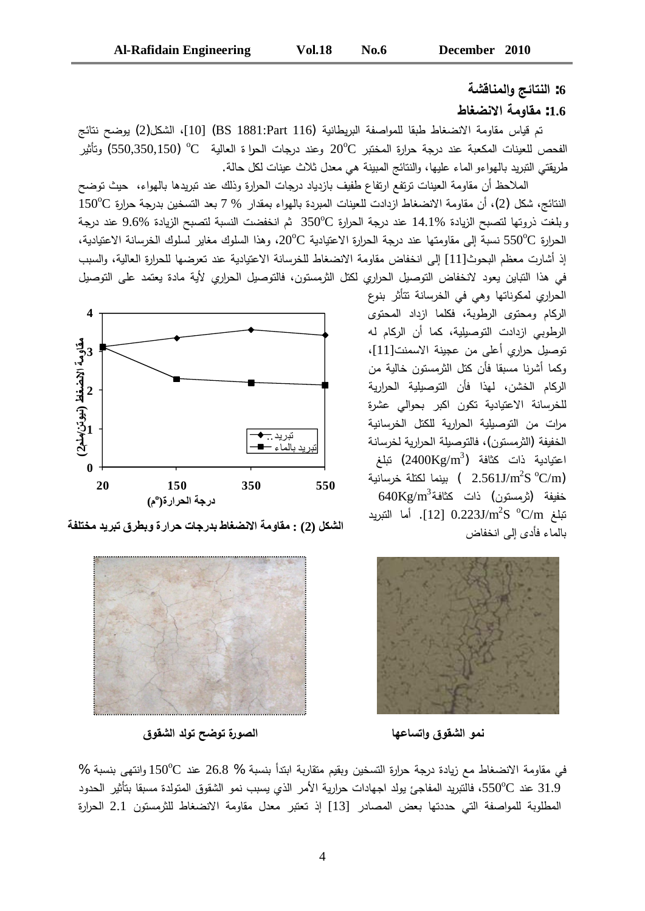# **ŗŬſœƈƆƃ¦Âŝőœřƈƃ¦ :6**

## **¶œźŰƈƙ¦ŗƆœƀƆ :1.6**

تم قياس مقاومة الانضغاط طبقا للمواصفة البريطانية (BS 1881:Part 116) (10]، الشكل(2) يوضح نتائج الفحص للعينات المكعبة عند درجة حرارة المختبر  $20^{\circ}\mathrm{C}$  وعند درجات الحرا ة العالية  $^\circ\mathrm{C}$   $^\circ$ (550,350,150) وتأثير طريقتي النبريد بالهواءو الماء عليها، والنتائج المبينة هي معدل ثلاث عينات لكل حالة.

الملاحظ أن مقاومة العينات ترتفع ارتفاع طفيف بازدياد درجات الحرارة وذلك عند تبريدها بالهواء، حيث توضح  $150^{\circ}\mathrm{C}$  أن مقاومة الانضغاط ازدادت للعينات المبردة بالهواء بمقدار  $7\%$  بعد التسخين بدرجة حرارة وبلغت ذروتها لتصبح الزيادة %14.1 عند درجة الحرارة  $350^{\circ}\mathrm{C}$  ثم انخفضت النسبة لتصبح الزيادة %9.6 عند درجة لحرارة  ${\rm G}^{\rm o}{\rm C}$  نسبة إلى مقاومتها عند درجة الحرارة الاعتيادية  ${\rm C}^{\rm o}{\rm C}$ ، وهذا السلوك مغاير لسلوك الخرسانة الاعتيادية، إذ أشارت معظم البحوث[11] إلى انخفاض مقاومة الانضغاط للخرسانة الاعتبادية عند تعرضها للحرارة العالبة، والسبب في هذا التباين يعود لانخفاض التوصيل الحراري لكتل الثرمستون، فالتوصيل الحراري لأية مادة يعتمد على التوصيل

الحراري لمكوناتها وهي في الخرسانة نتأثر بنوع الركام ومحتوى الرطوبة، فكلما ازداد المحتوى الرطوبي ازدادت التوصيلية، كما أن الركام له توصيل حراري أعلى من عجينة الاسمنت[11]، وكما أشرنا مسبقا فأن كنل الثرمستون خالية من الركام الخشن، لهذا فأن التوصيلية الحرارية للخرسانة الاعتيادية تكون اكبر بحوالي عشرة مرات من التوصيلية الحرارية للكتل الخرسانية الخفيفة (الثرمستون)، فالتوصيلة الحرارية لخرسانة عتيادية ذات كثافة (2400Kg/m<sup>3</sup>) تبلغ بينما لكتلة خرسانية  $($  2.561J/m $^2$ S  $^{\rm o}$ C/m)  $640\mathrm{Kg/m}^3$ خفيفة (ثرمستون) ذات كثافة بَلغ C/m كَالتَّبْريد 0.223J/m²S °C/m. أما التبريد بالماء فأدى إلى انخفاض



الشكل (2) : مقاومة الانضغاط بدرجات حرارة وبطرق تبريد مختلفة



**¼ÂƀŬƃ¦®ƃÂřŠŰÂř¨°ÂŮƃ¦ œƌŵœŪř¦Â¼ÂƀŬƃ¦ÂƆƈ**

في مقاومة الانضغاط مع زيادة درجة حرارة التسخين وبقيم متقاربة ابندأ بنسبة % 26.8 عند ℃150 وانتهى بنسبة % 31.9 عند 550°C، فالنبريد المفاجئ يولد اجهادات حرارية الأمر الذي يسبب نمو الشقوق المتولدة مسبقا بتأثير الحدود المطلوبة للمواصفة التي حددتها بعض المصادر [13] إذ تعتبر معدل مقاومة الانضغاط للثرمستون 2.1 الحرارة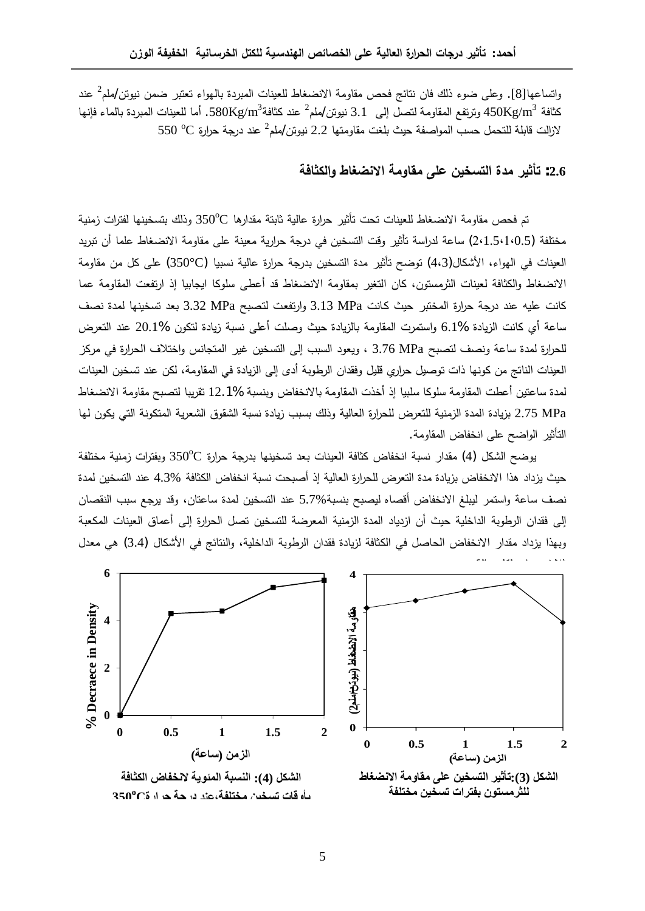واتساعها[8]. وعلى ضوء ذلك فان نتائج فحص مقاومة الانضغاط للعينات المبردة بالمهواء تعتبر ضمن نيوتن/ملم<sup>2</sup> عند كثافة 450Kg/m $^3$  وترتفع المقاومة لتصل إلى  $1.1\,$  نيوتن $\sim$ لملم $^2$  عند كثافة $\sim 580$ Kg/m $^3$ . أما للعينات المبردة بالماء فإنها  $\rm Z$ لازالت قابلة للتحمل حسب المواصفة حيث بلغت مقاومتها 2.2 نيوتن/ملم $^2$  عند درجة حرارة  $\rm C$  550

# **ŗżœśƂƃ¦Â ¶œźŰƈƙ¦ŗƆœƀƆƏƄŵÀƒŤŪřƃ¦ ¨®Ɔ°ƒśŋř :2.6**

نّم فحص مقاومة الانضغاط للعينات تحت تأثير حرارة عالية ثابتة مقدارها ℃350 وذلك بتسخينها لفترات زمنية مختلفة (2،1.5،1،0.5) ساعة لدراسة تأثير وقت التسخين في درجة حرارية معينة على مقاومة الانضغاط علما أن تبريد العينات في الهواء، الأشكال(4،3) توضح تأثير مدة التسخين بدرجة حرارة عالية نسبيا (€350) على كل من مقاومة الانضغاط والكثافة لعينات الثرمستون، كان التغير بمقاومة الانضغاط قد أعطي سلوكا ايجابيا إذ ارتفعت المقاومة عما كانت عليه عند درجة حرارة المختبر حيث كانت 3.13 MPa وارتفعت لتصبح MPa 3.32 بعد تسخينها لمدة نصف ساعة أي كانت الزبادة %6.1 واستمرت المقاومة بالزبادة حبث وصلت أعلى نسبة زبادة لتكون %20.1 عند التعرض للحرارة لمدة ساعة ونصف لتصبح 3.76 MPa ، ويعود السبب إلى التسخين غير المتجانس واختلاف الحرارة في مركز العينات الناتج من كونها ذات توصيل حراري قليل وفقدان الرطوبة أدى إلى الزيادة في المقاومة، لكن عند تسخين العينات لمدة ساعتين أعطت المقاومة سلوكا سلبيا إذ أخذت المقاومة بالانخفاض وبنسبة %12.**1** تقريبا لتصبح مقاومة الانضغاط ŕƎƅÁÃƄƔƓśƅ§řƊÃƄśƈƅ§řƔ±ŸŮƅ§½ÃƂŮƅ§řŗŬƊ©¯ŕƔ²¨ŗŬŗ¾ƅ°ÃřƔƅŕŸƅ§©±§±ţƆƅ¶±ŸśƆƅřƔƊƈ²ƅ§©¯ƈƅ§©¯ŕƔ²ŗ 2.75 MPa التأثير الواضح على انخفاض المقاومة.

بوضح الشكل (4) مقدار نسبة انخفاض كثافة العينات بعد تسخينها بدرجة حرارة €350 وبفترات زمنية مختلفة حيث يزداد هذا الانخفاض بزيادة مدة التعرض للحرارة العالية إذ أصبحت نسبة انخفاض الكثافة %4.3 عند التسخين لمدة نصف ساعة واستمر ليبلغ الانخفاض أقصاه ليصبح بنسبة%5.7 عند التسخين لمدة ساعتان، وقد يرجع سبب النقصان إلى فقدان الرطوبة الداخلية حيث أن ازدياد المدة الزمنية المعرضة للتسخين تصل الحرارة إلى أعماق العينات المكعبة وبهذا يزداد مقدار الانخفاض الحاصل في الكثافة لزيادة فقدان الرطوبة الداخلية، والنتائج في الأشكال (3.4) هي معدل

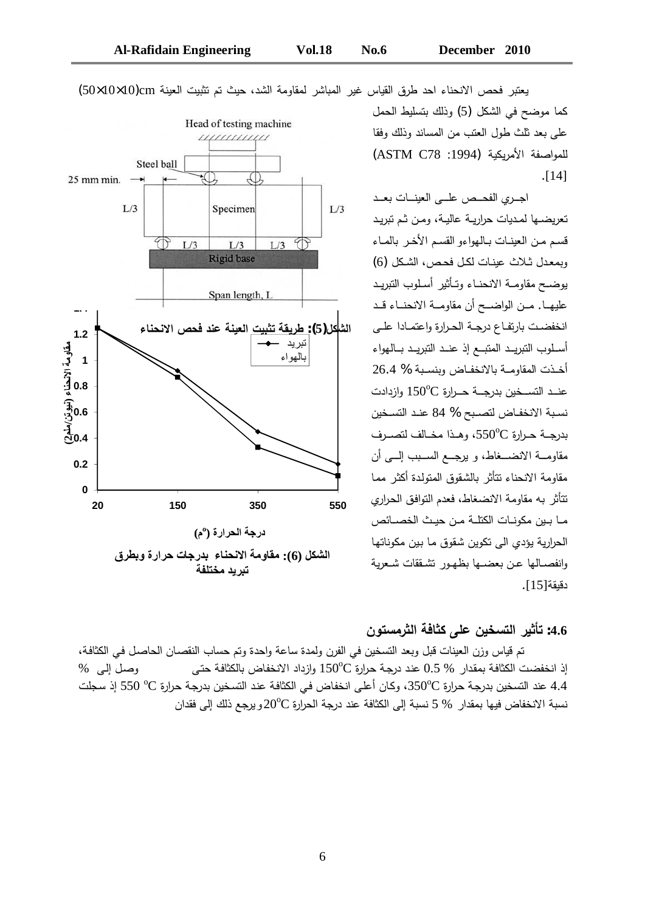

يعتبر فحص الانحناء احد طرق القياس غير المباشر لمقاومة الشد، حيث تم تثبيت العينة 10(10×10×50)

كما موضح في الشكل (5) وذلك بتسليط الحمل على بعد ثلث طول العتب من المساند وذلك وفقا للمواصفة الأمريكية (ASTM C78 :1994) .[14]

اجري الفحـص علــي العينــات بعــد تعريضــها لمـديات حراريــة عاليــة، ومـن ثـم تبريـد قسم من العينات بالهواءو القسم الأخر بالماء وبمعدل ثلاث عبنات لكل فحص، الشكل (6) يوضـح مقاومـــة الانحنـــاء وتــأثير أسـلوب التبريــد علبهـا. مــن الواضــح أن مقاومــة الانحنــاء قــد انخفضت بارتفاع درجة الحرارة واعتمـادا علـى أسطوب التبريـد المتبــع إذ عنــد التبريــد بــالـهواء أخذت المقاومـة بالانخفـاض وبنسـبة % 26.4 عنـد التسـخين بدرجــة حــرارة  $150^{\rm o}{\rm C}$  وازدادت نسبة الانخفاض لتصبح % 84 عند التسخين  $\pm$ بدرجــة حـرارة  $550^{\circ}$ ، وهـذا مخـالف لتصـرف مقاومـــة الانضـــغاط، و برجـــع الســـبب إلــــي أن مقاومة الانحناء نتأثر بالشقوق المتولدة أكثر مما نتأثر به مقاومة الانضغاط، فعدم التوافق الحراري ما بين مكونـات الكتلـة مـن حيـث الخصــائص الحرارية يؤدي الى تكوين شقوق ما بين مكوناتها وانفصـالها عـن بعضــها بظهـور تشـققات شـعربـة دقيقة[15].

# **ÀÂřŪƆ°śƃ¦ŗżœśƂƏƄŵÀƒŤŪřƃ¦°ƒśŋř :4.6**

تم قياس وزن العينات قبل وبعد التسخين في الفرن ولمدة ساعة واحدة وتم حساب النقصـان الحاصـل في الكثافـة، إذ انخفضت الكثافة بمقدار % 0.5 عند درجة حرارة ℃150 وازداد الانخفاض بالكثافة حتى وصل إلى % 4.4 عند التسخين بدرجة حرارة 350°C، وكان أعلى انخفاض في الكثافة عند التسخين بدرجة حرارة C° 550 إذ سجلت سبة الانخفاض فيها بمقدار  $5\%$  نسبة إلى الكثافة عند درجة الحرارة  $20^{\rm o}{\rm C}$ و يرجع ذلك إلى فقدان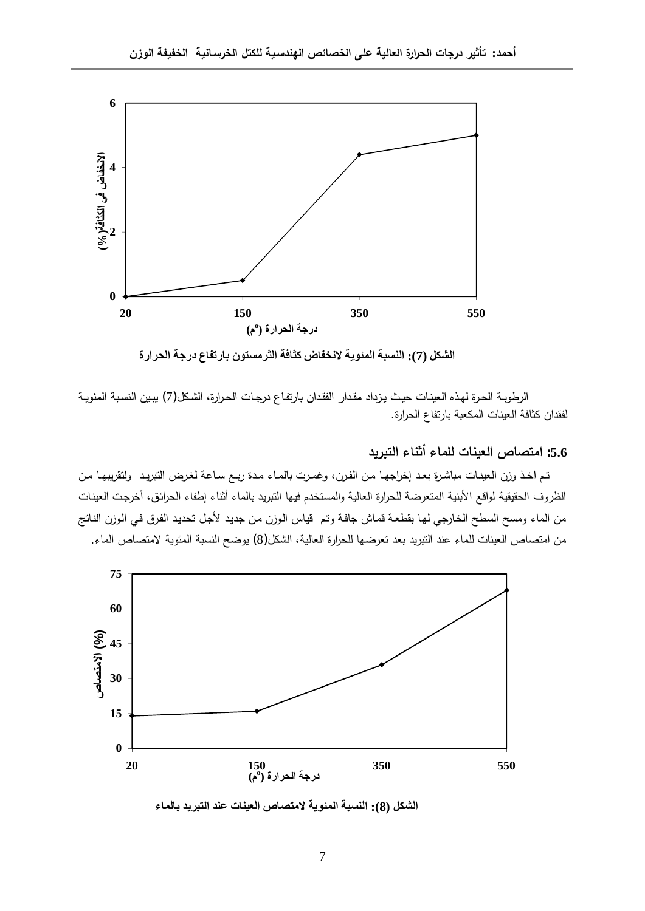

الشكل (7): النسبة المئوية لانخفاض كثافة الثرمستون بارتفاع درجة الحرارة

الرطوبة الحرة لهذه العينات حيث يزداد مقدار الفقدان بارتفاع درجات الحرارة، الشكل(7) يبين النسبة المئويـة لفقدان كثافة العينات المكعبة بارتفاع الحرارة.

### **®ƒ°ŕřƃ¦ œƈś¢ œƆƄƃ ©œƈƒŶƃ¦´œŮřƆ¦ :5.6**

تم اخذ وزن العينات مباشرة بعد إخراجها من الفرن، وغمرت بالماء مدة ربـع ساعة لغرض التبريد ولتقريبها من الظروف الحقيقية لواقع الأبنية المتعرضة للحرارة العالية والمستخدم فيها النبريد بالماء أثناء إطفاء الحرائق، أخرجت العينات من الماء ومسح السطح الخارجي لها بقطعة قماش جافة وتم قياس الوزن من جديد لأجل تحديد الفرق في الوزن الناتج من امتصاص العينات للماء عند التبريد بعد تعرضها للحرارة العالية، الشكل(8) يوضح النسبة المئوية لامتصاص الماء.



الشكل (8): النسبة المئوية لامتصاص العينات عند التبريد بالماء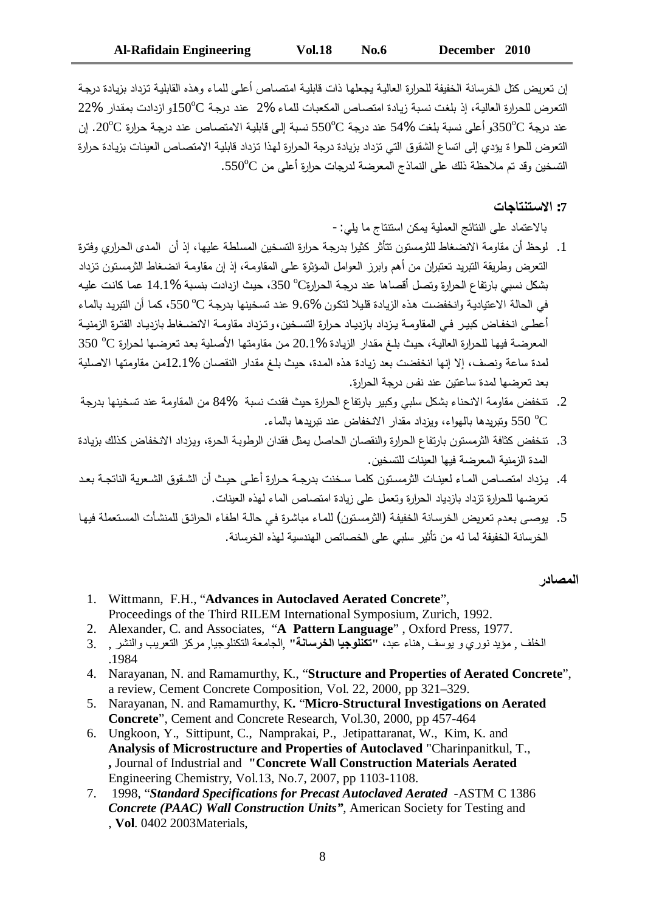إن تعريض كثل الخرسانة الخفيفة للحرارة العالية يجعلها ذات قابلية امتصاص أعلى للماء وهذه القابلية تزداد بزيادة درجة  $22$ % لتعرض للحرارة العالية، إذ بلغت نسبة زيادة امتصاص المكعبات للماء %2 عند درجة  $150^{\mathrm{o}}$ و ازدادت بمقدار عند درجة ©350 وأعلى نسبة بلغت %54 عند درجة ©550 نسبة إلى قابلية الامتصاص عند درجة حرارة ©20. إن التعرض للحرا ة يؤدي إلى اتساع الشقوق التي تزداد بزيادة درجة الحرارة لهذا تزداد قابلية الامتصاص العينات بزيادة حرارة التسخين وقد تم ملاحظة ذلك على النماذج المعرضة لدرجات حرارة أعلى من ℃550.

#### **©œŞœřƈřºŪƙ¦ :7**

بالاعتماد على النتائج العملية يمكن استنتاج ما يلي:-

- 1. لوحظ أن مقاومة الانضغاط للثرمستون تتأثر كثيرا بدرجة حرارة التسخين المسلطة عليها، إذ أن المدى الحراري وفترة التعرض وطريقة التبريد تعتبران من أهم وابرز العوامل المؤثرة على المقاومة، إذ إن مقاومة انضـغاط الثرمستون تزداد يشكل نسبي بارتفاع الحرارة وتصل أقصاها عند درجة الحرارة℃ 350، حيث ازدادت بنسبة %14.1 عما كانت عليه في الحالة الاعتيادية وانخفضت هذه الزيادة قليلا لنكون %9.6 عند تسخينها بدرجة ℃550، كما أن النبريد بالماء أعطـي انخفـاض كبير فـي المقاومــة يـزداد بازديـاد حرارة التسـخين، و تـزداد مقاومــة الانضــغاط بازديـاد الفتـرة الزمنيــة 350 °C المعرضة فيها للحرارة العالية، حيث بلغ مقدار الزيادة %20.1 من مقاومتها الأصلية بعد تعرضـها لحرارة  $^\mathrm{o}\mathrm{C}$ لمدة ساعة ونصف، إلا إنها انخفضت بعد زيادة هذه المدة، حيث بلغ مقدار النقصان %12.1من مقاومتها الاصلية بعد تعرضها لمدة ساعتين عند نفس درجة الحرارة.
- ے. تتخفض مقاومة الاتحناء بشكل سلبے وكبير بارتفاع الحرارة حيث فقدت نسبة %84 من المقاومة عند تسخينها بدرجة 6° 550 ونبريدها بالمهواء، ويزداد مقدار الانخفاض عند نبريدها بالماء.
- 3. تتخفض كثافة الثرمستون بارتفاع الحرارة والنقصان الحاصل يمثل فقدان الرطوبة الحرة، ويزداد الانخفاض كذلك بزيادة المدة الزمنية المعرضية فيها العبنات للتسخين.
- 4. بـزداد امتصـاص المـاء لعبنـات الثرمسـتون كلمـا سـخنت بدرجـة حـرارة أعلـي حبـث أن الشـقوق الشـعربـة الناتجـة بعـد تعرضها للحرارة تزداد بازدياد الحرارة وتعمل على زيادة امتصاص الماء لهذه العينات.
- 5. يوصبي بعدم تعريض الخرسانة الخفيفة (الثرمستون) للماء مباشرة في حالـة اطفاء الحرائق للمنشأت المستعملة فيها الخرسانة الخفيفة لما له من تأثير سلبي على الخصائص الهندسية لهذه الخرسانة.

#### ا**لمصاد**ر

- Wittmann, F.H., "**Advances in Autoclaved Aerated Concrete**", 1. Proceedings of the Third RILEM International Symposium, Zurich, 1992.
	- 2. Alexander, C. and Associates, "**A Pattern Language**" , Oxford Press, 1977.
- الخلف , مؤيد نوري و يوسف ,هناء عبد، **''تكنلوجيا الخرسانـة''** ,الجامعة التكنلوجيا, مركز التعريب والنشر , .3 .1984
- Narayanan, N. and Ramamurthy, K., "**Structure and Properties of Aerated Concrete**", 4. a review, Cement Concrete Composition, Vol. 22, 2000, pp 321–329.
- Narayanan, N. and Ramamurthy, K**.** "**Micro-Structural Investigations on Aerated** 5. **Concrete**", Cement and Concrete Research, Vol.30, 2000, pp 457-464
- Ungkoon, Y., Sittipunt, C., Namprakai, P., Jetipattaranat, W., Kim, K. and 6. **Analysis of Microstructure and Properties of Autoclaved** "Charinpanitkul, T., **,** Journal of Industrial and **"Concrete Wall Construction Materials Aerated** Engineering Chemistry, Vol.13, No.7, 2007, pp 1103-1108.
- 1998, "*Standard Specifications for Precast Autoclaved Aerated* -ASTM C 1386 7.*Concrete (PAAC) Wall Construction Units"*, American Society for Testing and , **Vol**. 0402 2003Materials,